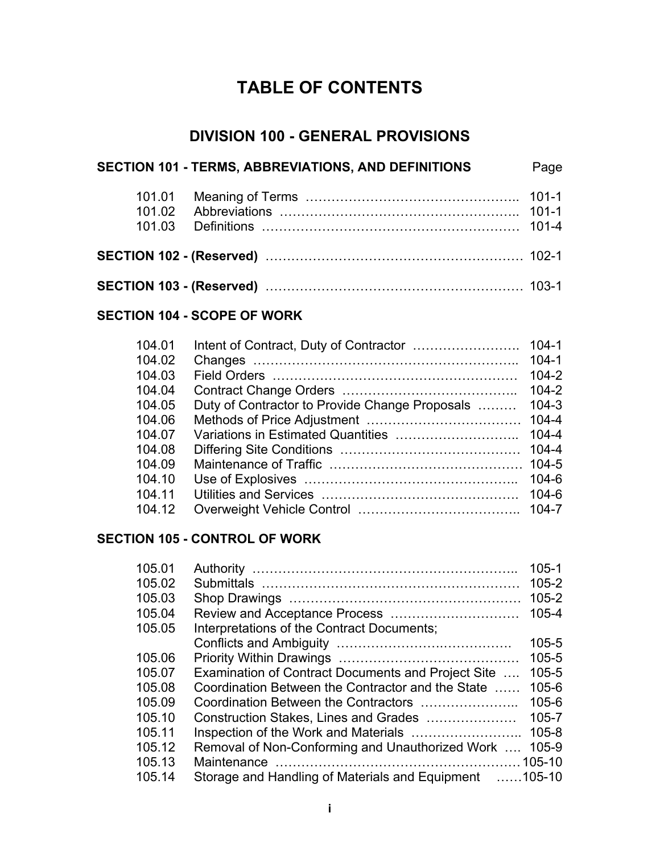# **TABLE OF CONTENTS**

### **DIVISION 100 - GENERAL PROVISIONS**

| SECTION 101 - TERMS, ABBREVIATIONS, AND DEFINITIONS | Page |
|-----------------------------------------------------|------|
|                                                     |      |
|                                                     |      |
|                                                     |      |

#### **SECTION 104 - SCOPE OF WORK**

| 104.01 |                                                | $104 - 1$ |
|--------|------------------------------------------------|-----------|
| 104.02 |                                                | $104 - 1$ |
| 104.03 |                                                | $104 - 2$ |
| 104.04 |                                                | $104 - 2$ |
| 104.05 | Duty of Contractor to Provide Change Proposals | $104 - 3$ |
| 104.06 |                                                | $104 - 4$ |
| 104.07 |                                                | $104 - 4$ |
| 104.08 |                                                | $104 - 4$ |
| 104.09 |                                                |           |
| 104.10 |                                                | $104 - 6$ |
| 104.11 |                                                | $104 - 6$ |
| 104.12 |                                                | $104 - 7$ |

### **SECTION 105 - CONTROL OF WORK**

| 105.01 |                                                        | $105 - 1$ |
|--------|--------------------------------------------------------|-----------|
| 105.02 |                                                        | $105 - 2$ |
| 105.03 |                                                        | $105 - 2$ |
| 105.04 |                                                        | 105-4     |
| 105.05 | Interpretations of the Contract Documents;             |           |
|        |                                                        | $105 - 5$ |
| 105.06 |                                                        | $105 - 5$ |
| 105.07 | Examination of Contract Documents and Project Site     | $105 - 5$ |
| 105.08 | Coordination Between the Contractor and the State      | $105 - 6$ |
| 105.09 |                                                        | $105 - 6$ |
| 105.10 | Construction Stakes, Lines and Grades                  | $105 - 7$ |
| 105.11 |                                                        | $105 - 8$ |
| 105.12 | Removal of Non-Conforming and Unauthorized Work        | 105-9     |
| 105.13 |                                                        |           |
| 105.14 | Storage and Handling of Materials and Equipment 105-10 |           |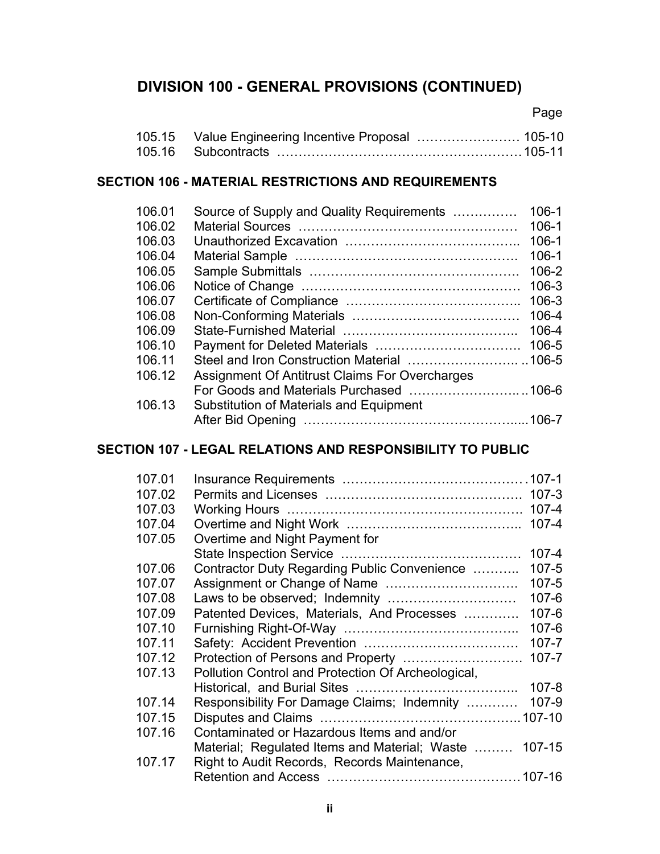## **DIVISION 100 - GENERAL PROVISIONS (CONTINUED)**

Page

#### **SECTION 106 - MATERIAL RESTRICTIONS AND REQUIREMENTS**

| 106.01<br>106.02 | Source of Supply and Quality Requirements      | $106 - 1$<br>$106 - 1$ |
|------------------|------------------------------------------------|------------------------|
| 106.03           |                                                | $106-1$                |
| 106.04           |                                                | $106 - 1$              |
| 106.05           |                                                | 106-2                  |
| 106.06           |                                                | 106-3                  |
| 106.07           |                                                | $106 - 3$              |
| 106.08           |                                                | 106-4                  |
| 106.09           |                                                | 106-4                  |
| 106.10           |                                                | 106-5                  |
| 106.11           |                                                |                        |
| 106.12           | Assignment Of Antitrust Claims For Overcharges |                        |
|                  |                                                |                        |
| 106.13           | Substitution of Materials and Equipment        |                        |
|                  |                                                |                        |

### **SECTION 107 - LEGAL RELATIONS AND RESPONSIBILITY TO PUBLIC**

| 107.01 |                                                    |           |
|--------|----------------------------------------------------|-----------|
| 107.02 |                                                    |           |
| 107.03 |                                                    | $107 - 4$ |
| 107.04 |                                                    | $107 - 4$ |
| 107.05 | Overtime and Night Payment for                     |           |
|        |                                                    | $107 - 4$ |
| 107.06 | Contractor Duty Regarding Public Convenience       | $107 - 5$ |
| 107.07 |                                                    | $107 - 5$ |
| 107.08 |                                                    | $107 - 6$ |
| 107.09 | Patented Devices, Materials, And Processes         | $107 - 6$ |
| 107.10 |                                                    | $107 - 6$ |
| 107.11 |                                                    | $107 - 7$ |
| 107.12 |                                                    | $107 - 7$ |
| 107.13 | Pollution Control and Protection Of Archeological, |           |
|        |                                                    | $107 - 8$ |
| 107.14 | Responsibility For Damage Claims; Indemnity        | 107-9     |
| 107.15 |                                                    |           |
| 107.16 | Contaminated or Hazardous Items and and/or         |           |
|        | Material; Regulated Items and Material; Waste      | 107-15    |
| 107.17 | Right to Audit Records, Records Maintenance,       |           |
|        |                                                    |           |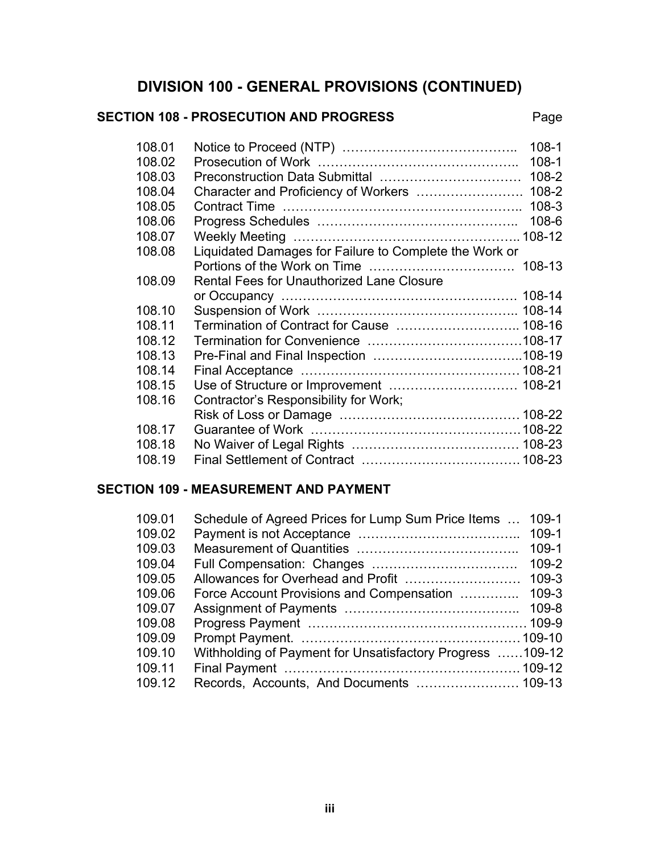## **DIVISION 100 - GENERAL PROVISIONS (CONTINUED)**

#### SECTION 108 - PROSECUTION AND PROGRESS Page

| 108.01                                              | $108 - 1$                                              |
|-----------------------------------------------------|--------------------------------------------------------|
| 108.02                                              | $108 - 1$                                              |
| 108.03                                              | 108-2                                                  |
| 108.04                                              | Character and Proficiency of Workers<br>$108 - 2$      |
| 108.05                                              | $108 - 3$                                              |
| 108.06                                              | $108 - 6$                                              |
| 108.07                                              |                                                        |
| 108.08                                              | Liquidated Damages for Failure to Complete the Work or |
|                                                     |                                                        |
| Rental Fees for Unauthorized Lane Closure<br>108.09 |                                                        |
|                                                     |                                                        |
| 108.10                                              |                                                        |
| 108.11                                              | Termination of Contract for Cause  108-16              |
| 108.12                                              |                                                        |
| 108.13                                              |                                                        |
| 108.14                                              |                                                        |
| 108.15                                              | Use of Structure or Improvement  108-21                |
| Contractor's Responsibility for Work;<br>108.16     |                                                        |
|                                                     |                                                        |
| 108.17                                              |                                                        |
| 108.18                                              |                                                        |
| 108.19                                              |                                                        |

### **SECTION 109 - MEASUREMENT AND PAYMENT**

| 109.01 | Schedule of Agreed Prices for Lump Sum Price Items        | $109-1$   |
|--------|-----------------------------------------------------------|-----------|
| 109.02 |                                                           | 109-1     |
| 109.03 |                                                           | $109-1$   |
| 109.04 |                                                           | 109-2     |
| 109.05 |                                                           | $109 - 3$ |
| 109.06 | Force Account Provisions and Compensation                 | $109 - 3$ |
| 109.07 |                                                           | 109-8     |
| 109.08 |                                                           |           |
| 109.09 |                                                           |           |
| 109.10 | Withholding of Payment for Unsatisfactory Progress 109-12 |           |
| 109.11 |                                                           |           |
| 109.12 |                                                           |           |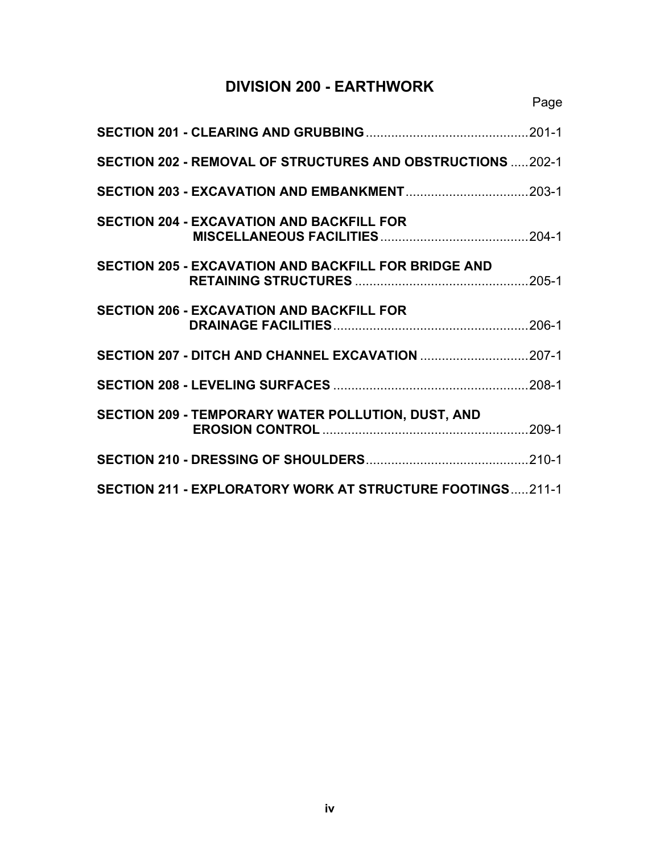## **DIVISION 200 - EARTHWORK**

| SECTION 202 - REMOVAL OF STRUCTURES AND OBSTRUCTIONS  202-1 |  |
|-------------------------------------------------------------|--|
|                                                             |  |
| <b>SECTION 204 - EXCAVATION AND BACKFILL FOR</b>            |  |
| <b>SECTION 205 - EXCAVATION AND BACKFILL FOR BRIDGE AND</b> |  |
| <b>SECTION 206 - EXCAVATION AND BACKFILL FOR</b>            |  |
| SECTION 207 - DITCH AND CHANNEL EXCAVATION 207-1            |  |
|                                                             |  |
| SECTION 209 - TEMPORARY WATER POLLUTION, DUST, AND          |  |
|                                                             |  |
| SECTION 211 - EXPLORATORY WORK AT STRUCTURE FOOTINGS211-1   |  |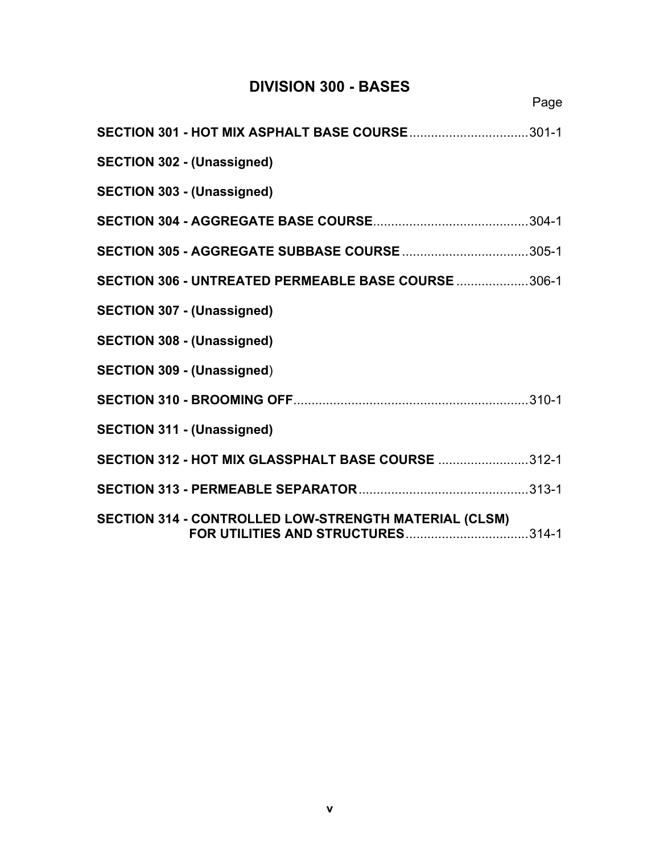## **DIVISION 300 - BASES**

Page

| SECTION 301 - HOT MIX ASPHALT BASE COURSE301-1        |
|-------------------------------------------------------|
| <b>SECTION 302 - (Unassigned)</b>                     |
| <b>SECTION 303 - (Unassigned)</b>                     |
|                                                       |
| <b>SECTION 305 - AGGREGATE SUBBASE COURSE 305-1</b>   |
| SECTION 306 - UNTREATED PERMEABLE BASE COURSE 306-1   |
| <b>SECTION 307 - (Unassigned)</b>                     |
| <b>SECTION 308 - (Unassigned)</b>                     |
| <b>SECTION 309 - (Unassigned)</b>                     |
|                                                       |
| <b>SECTION 311 - (Unassigned)</b>                     |
| SECTION 312 - HOT MIX GLASSPHALT BASE COURSE 312-1    |
|                                                       |
| SECTION 314 - CONTROLLED LOW-STRENGTH MATERIAL (CLSM) |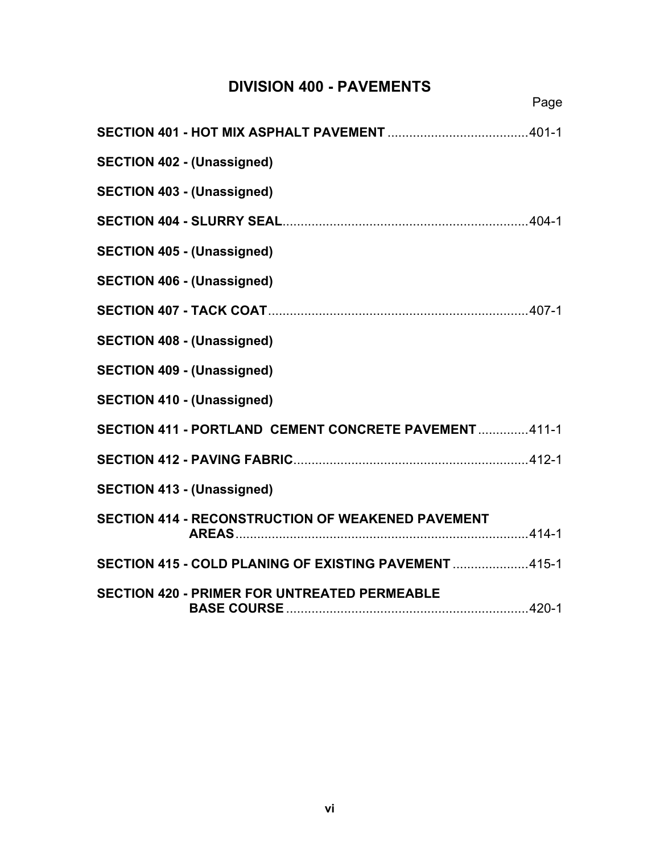## **DIVISION 400 - PAVEMENTS**

Page

| <b>SECTION 402 - (Unassigned)</b>                      |  |
|--------------------------------------------------------|--|
| <b>SECTION 403 - (Unassigned)</b>                      |  |
|                                                        |  |
| <b>SECTION 405 - (Unassigned)</b>                      |  |
| <b>SECTION 406 - (Unassigned)</b>                      |  |
|                                                        |  |
| <b>SECTION 408 - (Unassigned)</b>                      |  |
| <b>SECTION 409 - (Unassigned)</b>                      |  |
| <b>SECTION 410 - (Unassigned)</b>                      |  |
| SECTION 411 - PORTLAND CEMENT CONCRETE PAVEMENT  411-1 |  |
|                                                        |  |
| <b>SECTION 413 - (Unassigned)</b>                      |  |
| SECTION 414 - RECONSTRUCTION OF WEAKENED PAVEMENT      |  |
| SECTION 415 - COLD PLANING OF EXISTING PAVEMENT 415-1  |  |
| <b>SECTION 420 - PRIMER FOR UNTREATED PERMEABLE</b>    |  |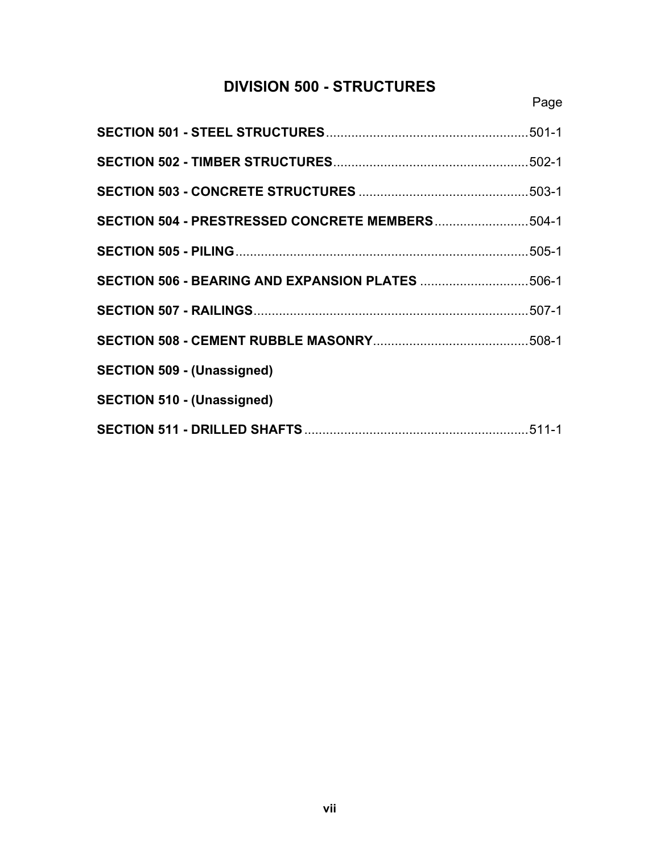## **DIVISION 500 - STRUCTURES**

| SECTION 504 - PRESTRESSED CONCRETE MEMBERS504-1         |  |
|---------------------------------------------------------|--|
|                                                         |  |
| <b>SECTION 506 - BEARING AND EXPANSION PLATES 506-1</b> |  |
|                                                         |  |
|                                                         |  |
| <b>SECTION 509 - (Unassigned)</b>                       |  |
| <b>SECTION 510 - (Unassigned)</b>                       |  |
|                                                         |  |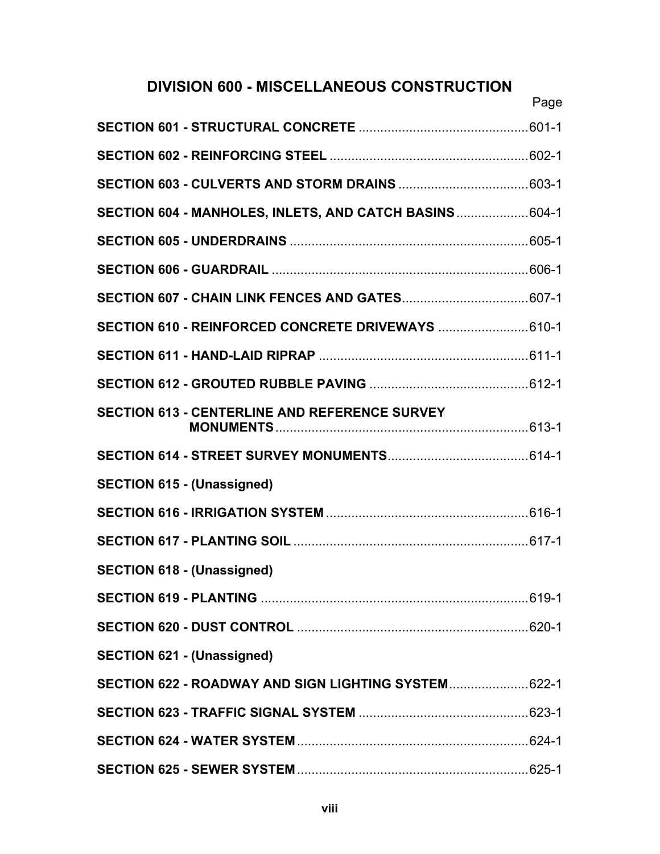## **DIVISION 600 - MISCELLANEOUS CONSTRUCTION**

|                                                         | Page |
|---------------------------------------------------------|------|
|                                                         |      |
|                                                         |      |
|                                                         |      |
| SECTION 604 - MANHOLES, INLETS, AND CATCH BASINS  604-1 |      |
|                                                         |      |
|                                                         |      |
|                                                         |      |
| SECTION 610 - REINFORCED CONCRETE DRIVEWAYS  610-1      |      |
|                                                         |      |
|                                                         |      |
| <b>SECTION 613 - CENTERLINE AND REFERENCE SURVEY</b>    |      |
|                                                         |      |
| <b>SECTION 615 - (Unassigned)</b>                       |      |
|                                                         |      |
|                                                         |      |
| <b>SECTION 618 - (Unassigned)</b>                       |      |
|                                                         |      |
|                                                         |      |
| <b>SECTION 621 - (Unassigned)</b>                       |      |
| SECTION 622 - ROADWAY AND SIGN LIGHTING SYSTEM 622-1    |      |
|                                                         |      |
|                                                         |      |
|                                                         |      |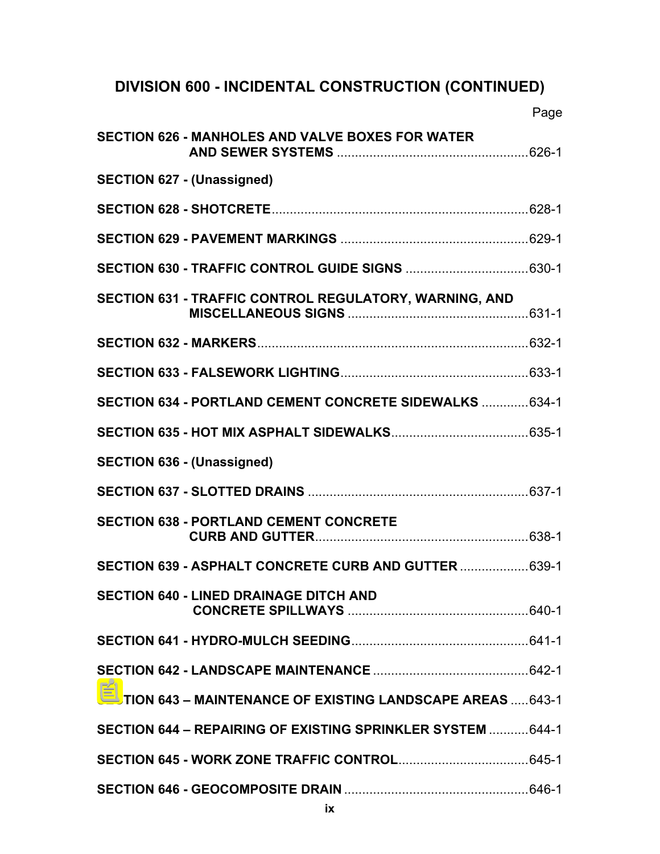# **DIVISION 600 - INCIDENTAL CONSTRUCTION (CONTINUED)**

|                                                                     | Page |
|---------------------------------------------------------------------|------|
| <b>SECTION 626 - MANHOLES AND VALVE BOXES FOR WATER</b>             |      |
| <b>SECTION 627 - (Unassigned)</b>                                   |      |
|                                                                     |      |
|                                                                     |      |
|                                                                     |      |
| SECTION 631 - TRAFFIC CONTROL REGULATORY, WARNING, AND              |      |
|                                                                     |      |
|                                                                     |      |
| SECTION 634 - PORTLAND CEMENT CONCRETE SIDEWALKS  634-1             |      |
|                                                                     |      |
| <b>SECTION 636 - (Unassigned)</b>                                   |      |
|                                                                     |      |
| <b>SECTION 638 - PORTLAND CEMENT CONCRETE</b>                       |      |
| SECTION 639 - ASPHALT CONCRETE CURB AND GUTTER  639-1               |      |
| <b>SECTION 640 - LINED DRAINAGE DITCH AND</b>                       |      |
|                                                                     |      |
|                                                                     |      |
| <b>SECTION 643 - MAINTENANCE OF EXISTING LANDSCAPE AREAS  643-1</b> |      |
| SECTION 644 - REPAIRING OF EXISTING SPRINKLER SYSTEM  644-1         |      |
|                                                                     |      |
|                                                                     |      |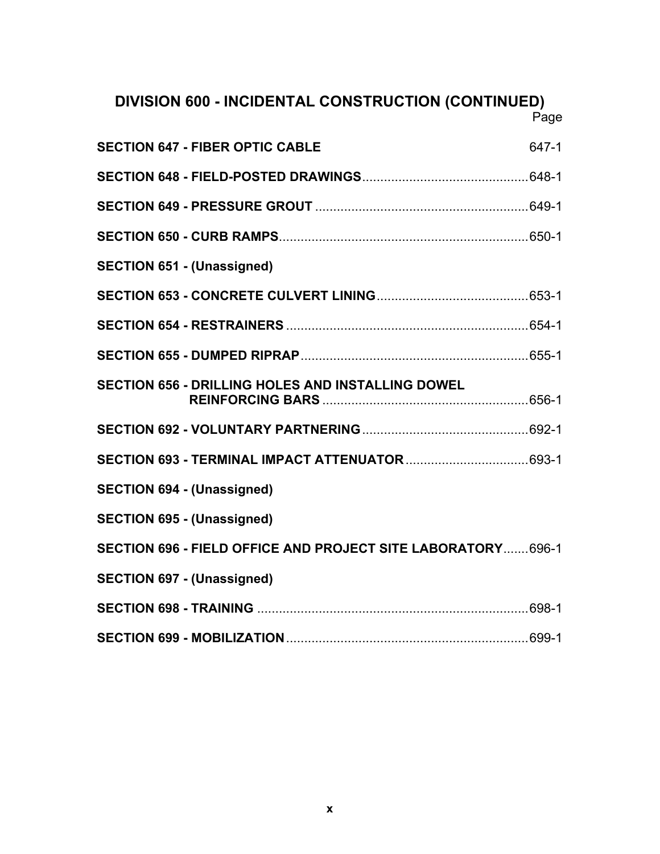## **DIVISION 600 - INCIDENTAL CONSTRUCTION (CONTINUED)**

Page

| <b>SECTION 647 - FIBER OPTIC CABLE</b>                       | 647-1 |
|--------------------------------------------------------------|-------|
|                                                              |       |
|                                                              |       |
|                                                              |       |
| <b>SECTION 651 - (Unassigned)</b>                            |       |
|                                                              |       |
|                                                              |       |
|                                                              |       |
| <b>SECTION 656 - DRILLING HOLES AND INSTALLING DOWEL</b>     |       |
|                                                              |       |
|                                                              |       |
| <b>SECTION 694 - (Unassigned)</b>                            |       |
| <b>SECTION 695 - (Unassigned)</b>                            |       |
| SECTION 696 - FIELD OFFICE AND PROJECT SITE LABORATORY 696-1 |       |
| <b>SECTION 697 - (Unassigned)</b>                            |       |
|                                                              |       |
|                                                              |       |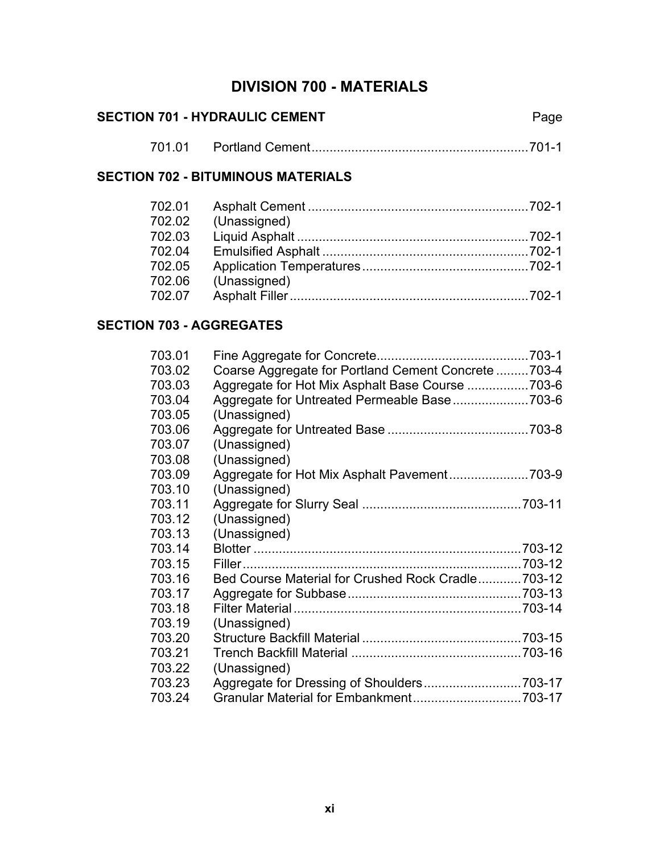## **DIVISION 700 - MATERIALS**

| <b>SECTION 701 - HYDRAULIC CEMENT</b> |  | Page |  |
|---------------------------------------|--|------|--|
|                                       |  |      |  |

#### **SECTION 702 - BITUMINOUS MATERIALS**

| 702.01 |              |  |
|--------|--------------|--|
| 702.02 | (Unassigned) |  |
| 702.03 |              |  |
| 702.04 |              |  |
| 702.05 |              |  |
| 702.06 | (Unassigned) |  |
| 702.07 |              |  |

### **SECTION 703 - AGGREGATES**

| 703.01 |                                                     |  |
|--------|-----------------------------------------------------|--|
| 703.02 | Coarse Aggregate for Portland Cement Concrete 703-4 |  |
| 703.03 | Aggregate for Hot Mix Asphalt Base Course 703-6     |  |
| 703.04 |                                                     |  |
| 703.05 | (Unassigned)                                        |  |
| 703.06 |                                                     |  |
| 703.07 | (Unassigned)                                        |  |
| 703.08 | (Unassigned)                                        |  |
| 703.09 |                                                     |  |
| 703.10 | (Unassigned)                                        |  |
| 703.11 |                                                     |  |
| 703.12 | (Unassigned)                                        |  |
| 703.13 | (Unassigned)                                        |  |
| 703.14 |                                                     |  |
| 703.15 |                                                     |  |
| 703.16 | Bed Course Material for Crushed Rock Cradle703-12   |  |
| 703.17 |                                                     |  |
| 703.18 |                                                     |  |
| 703.19 | (Unassigned)                                        |  |
| 703.20 |                                                     |  |
| 703.21 |                                                     |  |
| 703.22 | (Unassigned)                                        |  |
| 703.23 | Aggregate for Dressing of Shoulders703-17           |  |
| 703.24 |                                                     |  |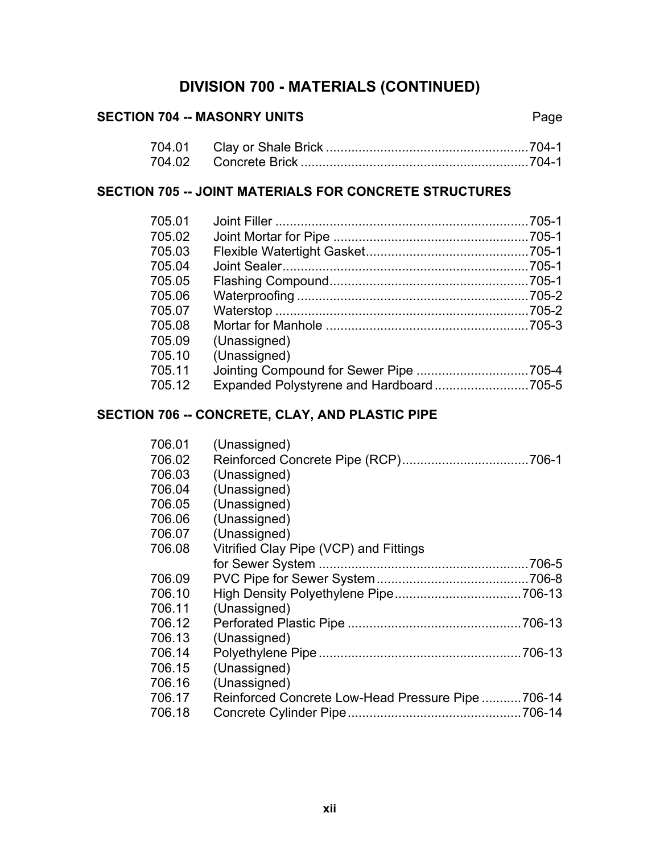### SECTION 704 -- MASONRY UNITS **Page**

### **SECTION 705 -- JOINT MATERIALS FOR CONCRETE STRUCTURES**

| 705.01 |              |  |
|--------|--------------|--|
| 705.02 |              |  |
| 705.03 |              |  |
| 705.04 |              |  |
| 705.05 |              |  |
| 705.06 |              |  |
| 705 07 |              |  |
| 705.08 |              |  |
| 705 09 | (Unassigned) |  |
| 705.10 | (Unassigned) |  |
| 705.11 |              |  |
| 705.12 |              |  |

### **SECTION 706 -- CONCRETE, CLAY, AND PLASTIC PIPE**

| 706.01 | (Unassigned)                                      |       |
|--------|---------------------------------------------------|-------|
| 706.02 |                                                   |       |
| 706.03 | (Unassigned)                                      |       |
| 706.04 | (Unassigned)                                      |       |
| 706.05 | (Unassigned)                                      |       |
| 706.06 | (Unassigned)                                      |       |
| 706.07 | (Unassigned)                                      |       |
| 706.08 | Vitrified Clay Pipe (VCP) and Fittings            |       |
|        |                                                   | 706-5 |
| 706.09 |                                                   |       |
| 706.10 |                                                   |       |
| 706.11 | (Unassigned)                                      |       |
| 706.12 |                                                   |       |
| 706.13 | (Unassigned)                                      |       |
| 706.14 |                                                   |       |
| 706.15 | (Unassigned)                                      |       |
| 706.16 | (Unassigned)                                      |       |
| 706.17 | Reinforced Concrete Low-Head Pressure Pipe 706-14 |       |
| 706.18 |                                                   |       |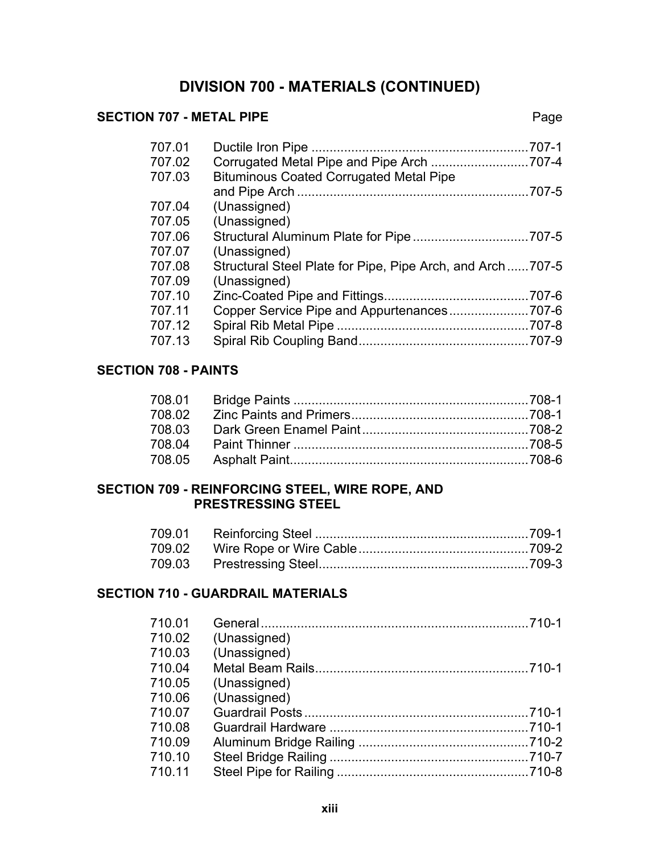#### **SECTION 707 - METAL PIPE** Page

| 707.01 | $.707 - 1$                                                |
|--------|-----------------------------------------------------------|
| 707.02 |                                                           |
| 707.03 | <b>Bituminous Coated Corrugated Metal Pipe</b>            |
|        | .707-5                                                    |
| 707.04 | (Unassigned)                                              |
| 707.05 | (Unassigned)                                              |
| 707.06 |                                                           |
| 707.07 | (Unassigned)                                              |
| 707.08 | Structural Steel Plate for Pipe, Pipe Arch, and Arch707-5 |
| 707.09 | (Unassigned)                                              |
| 707.10 | $.707 - 6$                                                |
| 707.11 |                                                           |
| 707.12 |                                                           |
| 707.13 |                                                           |
|        |                                                           |

### **SECTION 708 - PAINTS**

#### **SECTION 709 - REINFORCING STEEL, WIRE ROPE, AND PRESTRESSING STEEL**

#### **SECTION 710 - GUARDRAIL MATERIALS**

| 710.01 |              |  |
|--------|--------------|--|
| 710.02 | (Unassigned) |  |
| 710.03 | (Unassigned) |  |
| 710.04 |              |  |
| 710.05 | (Unassigned) |  |
| 710.06 | (Unassigned) |  |
| 710.07 |              |  |
| 710.08 |              |  |
| 710.09 |              |  |
| 710.10 |              |  |
| 710.11 |              |  |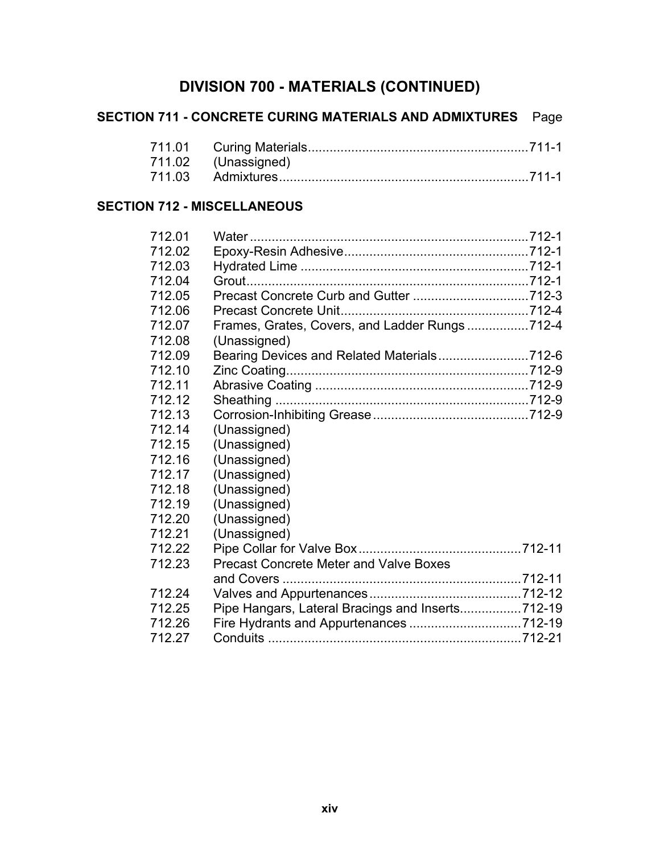|                                    | <b>SECTION 711 - CONCRETE CURING MATERIALS AND ADMIXTURES</b> | Page |
|------------------------------------|---------------------------------------------------------------|------|
| 711.01                             |                                                               |      |
| 711.02                             | (Unassigned)                                                  |      |
| 711.03                             |                                                               |      |
| <b>SECTION 712 - MISCELLANEOUS</b> |                                                               |      |
| 712.01                             |                                                               |      |
| 712.02                             |                                                               |      |
| 712.03                             |                                                               |      |
| 712.04                             |                                                               |      |
| 712.05                             |                                                               |      |
| 712.06                             |                                                               |      |
| 712.07                             | Frames, Grates, Covers, and Ladder Rungs712-4                 |      |
| 712.08                             | (Unassigned)                                                  |      |
| 712.09                             | Bearing Devices and Related Materials712-6                    |      |
| 712.10                             |                                                               |      |
| 712.11                             |                                                               |      |
| 712.12                             |                                                               |      |
| 712.13                             |                                                               |      |
| 712.14                             | (Unassigned)                                                  |      |
| 712.15                             | (Unassigned)                                                  |      |
| 712.16                             | (Unassigned)                                                  |      |
| 712.17                             | (Unassigned)                                                  |      |
| 712.18                             | (Unassigned)                                                  |      |
| 712.19                             | (Unassigned)                                                  |      |
| 712.20                             | (Unassigned)                                                  |      |
| 712.21                             | (Unassigned)                                                  |      |
| 712.22                             |                                                               |      |
| 712.23                             | <b>Precast Concrete Meter and Valve Boxes</b>                 |      |
|                                    |                                                               |      |
| 712.24                             |                                                               |      |
| 712.25                             | Pipe Hangars, Lateral Bracings and Inserts712-19              |      |
| 712.26                             |                                                               |      |

712.27 Conduits ......................................................................712-21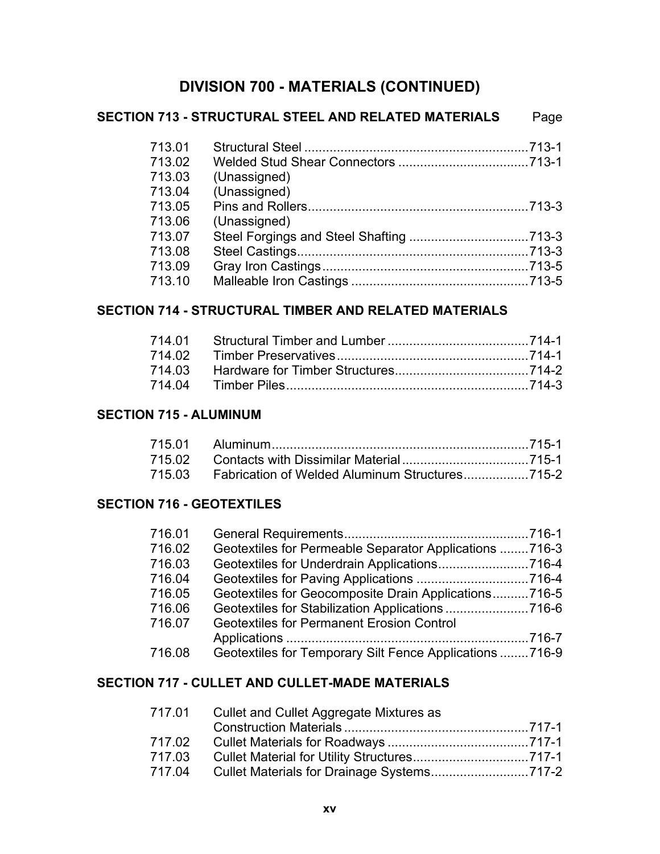|        | <b>SECTION 713 - STRUCTURAL STEEL AND RELATED MATERIALS</b> | Page |
|--------|-------------------------------------------------------------|------|
| 713.01 |                                                             |      |
| 713.02 |                                                             |      |
| 713.03 | (Unassigned)                                                |      |
| 713.04 | (Unassigned)                                                |      |
| 713.05 |                                                             |      |
| 713.06 | (Unassigned)                                                |      |
| 713.07 |                                                             |      |
| 713.08 |                                                             |      |
| 713.09 |                                                             |      |
| 713.10 |                                                             |      |

### **SECTION 714 - STRUCTURAL TIMBER AND RELATED MATERIALS**

#### **SECTION 715 - ALUMINUM**

| 715.03 Fabrication of Welded Aluminum Structures |  |
|--------------------------------------------------|--|

### **SECTION 716 - GEOTEXTILES**

| 716.01 |                                                         |  |
|--------|---------------------------------------------------------|--|
| 716.02 | Geotextiles for Permeable Separator Applications 716-3  |  |
| 716.03 | Geotextiles for Underdrain Applications716-4            |  |
| 716.04 |                                                         |  |
| 716.05 | Geotextiles for Geocomposite Drain Applications716-5    |  |
| 716.06 |                                                         |  |
| 716.07 | <b>Geotextiles for Permanent Erosion Control</b>        |  |
|        |                                                         |  |
| 716.08 | Geotextiles for Temporary Silt Fence Applications 716-9 |  |

#### **SECTION 717 - CULLET AND CULLET-MADE MATERIALS**

| Cullet and Cullet Aggregate Mixtures as |
|-----------------------------------------|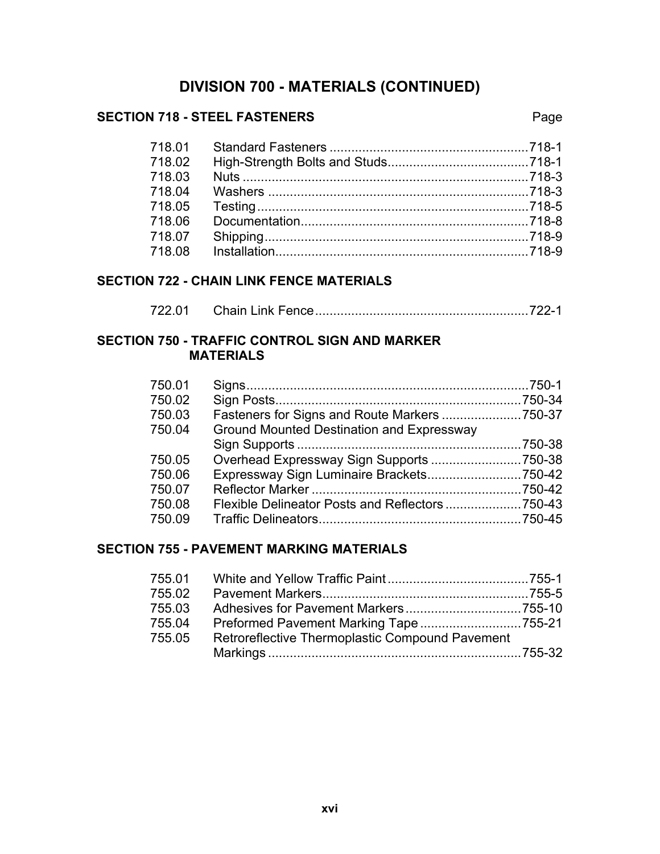#### **SECTION 718 - STEEL FASTENERS** Page

| 718.01 |  |
|--------|--|
| 718.02 |  |
| 718.03 |  |
| 718.04 |  |
| 718.05 |  |
| 718.06 |  |
| 718.07 |  |
| 718.08 |  |
|        |  |

#### **SECTION 722 - CHAIN LINK FENCE MATERIALS**

| 722.01 |  |  |
|--------|--|--|
|--------|--|--|

#### **SECTION 750 - TRAFFIC CONTROL SIGN AND MARKER MATERIALS**

| 750.01 |                                           |  |
|--------|-------------------------------------------|--|
| 750.02 |                                           |  |
| 750.03 |                                           |  |
| 750.04 | Ground Mounted Destination and Expressway |  |
|        |                                           |  |
| 750.05 |                                           |  |
| 750.06 |                                           |  |
| 750.07 |                                           |  |
| 750.08 |                                           |  |
| 750.09 |                                           |  |

#### **SECTION 755 - PAVEMENT MARKING MATERIALS**

| 755.01 |                                                 |  |
|--------|-------------------------------------------------|--|
| 755.02 |                                                 |  |
| 755.03 |                                                 |  |
| 755.04 |                                                 |  |
| 755.05 | Retroreflective Thermoplastic Compound Pavement |  |
|        |                                                 |  |